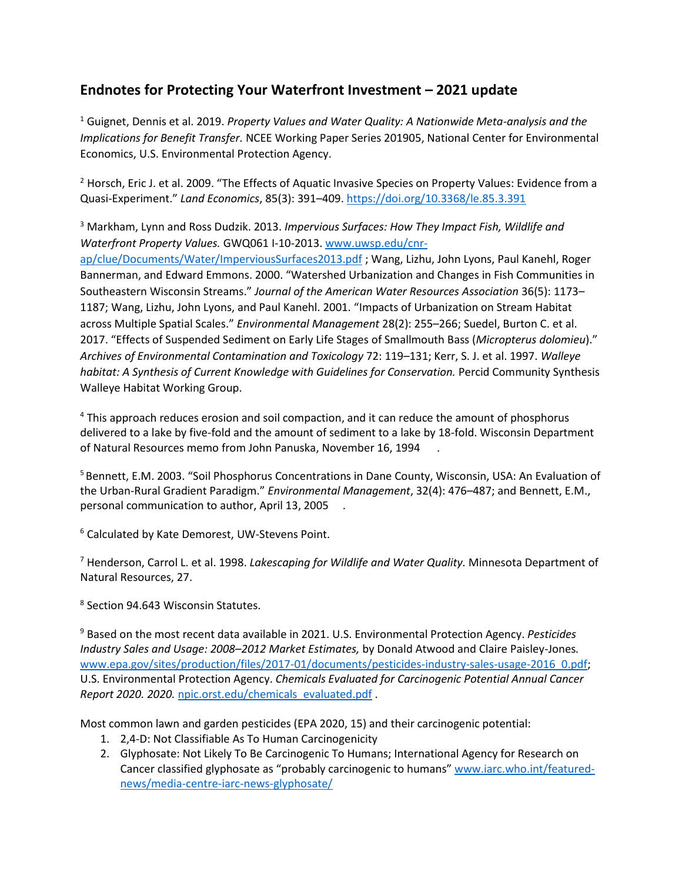## **Endnotes for Protecting Your Waterfront Investment – 2021 update**

<sup>1</sup> Guignet, Dennis et al. 2019. *Property Values and Water Quality: A Nationwide Meta-analysis and the Implications for Benefit Transfer.* NCEE Working Paper Series 201905, National Center for Environmental Economics, U.S. Environmental Protection Agency.

<sup>2</sup> Horsch, Eric J. et al. 2009. "The Effects of Aquatic Invasive Species on Property Values: Evidence from a Quasi-Experiment." *Land Economics*, 85(3): 391–409.<https://doi.org/10.3368/le.85.3.391>

<sup>3</sup> Markham, Lynn and Ross Dudzik. 2013. *Impervious Surfaces: How They Impact Fish, Wildlife and Waterfront Property Values.* GWQ061 I-10-2013. [www.uwsp.edu/cnr](https://www.uwsp.edu/cnr-ap/clue/Documents/Water/ImperviousSurfaces2013.pdf)[ap/clue/Documents/Water/ImperviousSurfaces2013.pdf](https://www.uwsp.edu/cnr-ap/clue/Documents/Water/ImperviousSurfaces2013.pdf) ; Wang, Lizhu, John Lyons, Paul Kanehl, Roger Bannerman, and Edward Emmons. 2000. "Watershed Urbanization and Changes in Fish Communities in Southeastern Wisconsin Streams." *Journal of the American Water Resources Association* 36(5): 1173– 1187; Wang, Lizhu, John Lyons, and Paul Kanehl. 2001. "Impacts of Urbanization on Stream Habitat across Multiple Spatial Scales." *Environmental Management* 28(2): 255–266; Suedel, Burton C. et al. 2017. "Effects of Suspended Sediment on Early Life Stages of Smallmouth Bass (*Micropterus dolomieu*)." *Archives of Environmental Contamination and Toxicology* 72: 119–131; Kerr, S. J. et al. 1997. *Walleye habitat: A Synthesis of Current Knowledge with Guidelines for Conservation.* Percid Community Synthesis Walleye Habitat Working Group.

<sup>4</sup> This approach reduces erosion and soil compaction, and it can reduce the amount of phosphorus delivered to a lake by five-fold and the amount of sediment to a lake by 18-fold. Wisconsin Department of Natural Resources memo from John Panuska, November 16, 1994 .

<sup>5</sup> Bennett, E.M. 2003. "Soil Phosphorus Concentrations in Dane County, Wisconsin, USA: An Evaluation of the Urban-Rural Gradient Paradigm." *Environmental Management*, 32(4): 476–487; and Bennett, E.M., personal communication to author, April 13, 2005 .

<sup>6</sup> Calculated by Kate Demorest, UW-Stevens Point.

<sup>7</sup> Henderson, Carrol L. et al. 1998. *Lakescaping for Wildlife and Water Quality.* Minnesota Department of Natural Resources, 27.

<sup>8</sup> Section 94.643 Wisconsin Statutes.

<sup>9</sup> Based on the most recent data available in 2021. U.S. Environmental Protection Agency. *Pesticides Industry Sales and Usage: 2008–2012 Market Estimates,* by Donald Atwood and Claire Paisley-Jones*.* [www.epa.gov/sites/production/files/2017-01/documents/pesticides-industry-sales-usage-2016\\_0.pdf;](http://www.epa.gov/sites/production/files/2017-01/documents/pesticides-industry-sales-usage-2016_0.pdf) U.S. Environmental Protection Agency. *Chemicals Evaluated for Carcinogenic Potential Annual Cancer Report 2020. 2020.* [npic.orst.edu/chemicals\\_evaluated.pdf](http://npic.orst.edu/chemicals_evaluated.pdf) .

Most common lawn and garden pesticides (EPA 2020, 15) and their carcinogenic potential:

- 1. 2,4-D: Not Classifiable As To Human Carcinogenicity
- 2. Glyphosate: Not Likely To Be Carcinogenic To Humans; International Agency for Research on Cancer classified glyphosate as "probably carcinogenic to humans" [www.iarc.who.int/featured](http://www.iarc.who.int/featured-news/media-centre-iarc-news-glyphosate/)[news/media-centre-iarc-news-glyphosate/](http://www.iarc.who.int/featured-news/media-centre-iarc-news-glyphosate/)